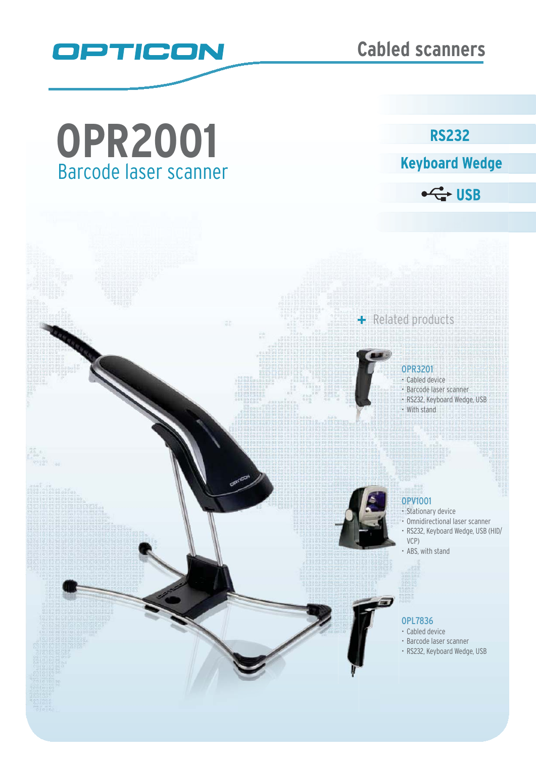

# Barcode laser scanner **OPR2001**

**Keyboard Wedge** 

**RS232** 

 $\leftarrow$  USB

+ Related products



# OPR3201 O

- Cabled device Barcode laser scanner  $\cdot$
- RS232, Keyboard Wedge, USB With stand  $\cdot$



## OPV1001

- Stationary device
- Omnidirectional laser scanner RS232, Keyboard Wedge, USB (HID/ VCP)
- ABS, with stand

### OPL7836

- Cabled device
- Barcode laser scanner
- RS232, Keyboard Wedge, USB